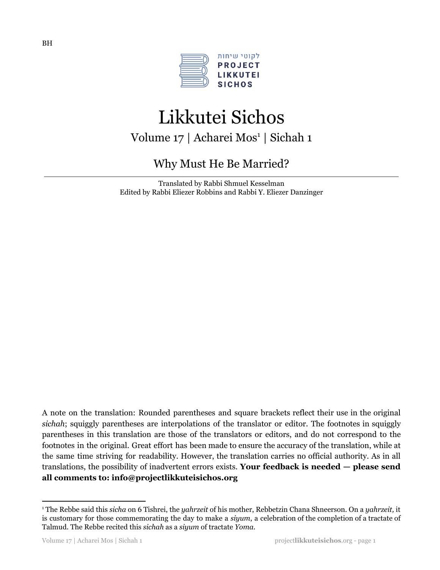

# Likkutei Sichos Volume 17 | Acharei Mos<sup>1</sup> | Sichah 1

# Why Must He Be Married?

Translated by Rabbi Shmuel Kesselman Edited by Rabbi Eliezer Robbins and Rabbi Y. Eliezer Danzinger

A note on the translation: Rounded parentheses and square brackets reflect their use in the original *sichah*; squiggly parentheses are interpolations of the translator or editor. The footnotes in squiggly parentheses in this translation are those of the translators or editors, and do not correspond to the footnotes in the original. Great effort has been made to ensure the accuracy of the translation, while at the same time striving for readability. However, the translation carries no official authority. As in all translations, the possibility of inadvertent errors exists. **Your feedback is needed — please send all comments to: info@projectlikkuteisichos.org**

<sup>1</sup> The Rebbe said this *sicha* on 6 Tishrei, the *yahrzeit* of his mother, Rebbetzin Chana Shneerson. On a *yahrzeit,* it is customary for those commemorating the day to make a *siyum*, a celebration of the completion of a tractate of Talmud. The Rebbe recited this *sichah* as a *siyum* of tractate *Yoma*.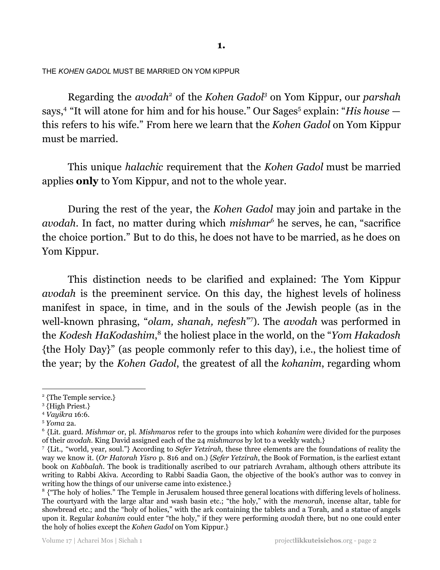THE *KOHEN GADOL* MUST BE MARRIED ON YOM KIPPUR

Regarding the *avodah*<sup>2</sup> of the *Kohen Gadol*<sup>3</sup> on Yom Kippur, our *parshah* says, <sup>4</sup> "It will atone for him and for his house." Our Sages <sup>5</sup> explain: "*His house* this refers to his wife." From here we learn that the *Kohen Gadol* on Yom Kippur must be married.

This unique *halachic* requirement that the *Kohen Gadol* must be married applies **only** to Yom Kippur, and not to the whole year.

During the rest of the year, the *Kohen Gadol* may join and partake in the *avodah*. In fact, no matter during which *mishmar<sup>6</sup>* he serves, he can, "sacrifice the choice portion." But to do this, he does not have to be married, as he does on Yom Kippur.

This distinction needs to be clarified and explained: The Yom Kippur *avodah* is the preeminent service. On this day, the highest levels of holiness manifest in space, in time, and in the souls of the Jewish people (as in the well-known phrasing, "olam, shanah, nefesh"<sup>7</sup>). The avodah was performed in the *Kodesh HaKodashim*,<sup>8</sup> the holiest place in the world, on the "*Yom Hakadosh* {the Holy Day}" (as people commonly refer to this day), i.e., the holiest time of the year; by the *Kohen Gadol*, the greatest of all the *kohanim*, regarding whom

<sup>2</sup> {The Temple service.}

<sup>3</sup> {High Priest.}

<sup>4</sup> *Vayikra* 16:6.

<sup>5</sup> *Yoma* 2a.

<sup>6</sup> {Lit. guard. *Mishmar* or, pl. *Mishmaros* refer to the groups into which *kohanim* were divided for the purposes of their *avodah*. King David assigned each of the 24 *mishmaros* by lot to a weekly watch.}

<sup>7</sup> {Lit., "world, year, soul."} According to *Sefer Yetzirah,* these three elements are the foundations of reality the way we know it. (*Or Hatorah Yisro* p. 816 and on.) {*Sefer Yetzirah*, the Book of Formation, is the earliest extant book on *Kabbalah*. The book is traditionally ascribed to our patriarch Avraham, although others attribute its writing to Rabbi Akiva. According to Rabbi Saadia Gaon, the objective of the book's author was to convey in writing how the things of our universe came into existence.}

<sup>&</sup>lt;sup>8</sup> {"The holy of holies." The Temple in Jerusalem housed three general locations with differing levels of holiness. The courtyard with the large altar and wash basin etc.; "the holy," with the *menorah*, incense altar, table for showbread etc.; and the "holy of holies," with the ark containing the tablets and a Torah, and a statue of angels upon it. Regular *kohanim* could enter "the holy," if they were performing *avodah* there, but no one could enter the holy of holies except the *Kohen Gadol* on Yom Kippur.}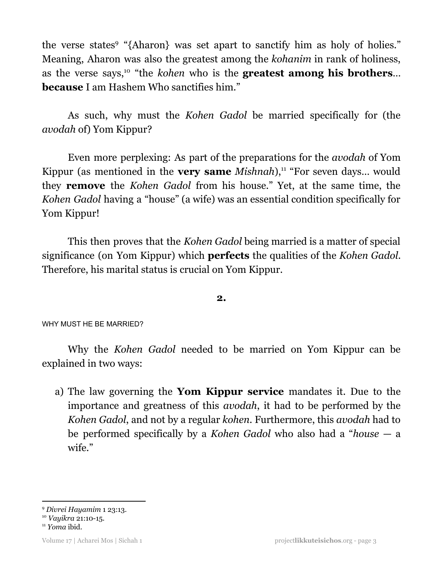the verse states<sup>9</sup> "{Aharon} was set apart to sanctify him as holy of holies." Meaning, Aharon was also the greatest among the *kohanim* in rank of holiness, as the verse says, <sup>10</sup> "the *kohen* who is the **greatest among his brothers**… **because** I am Hashem Who sanctifies him."

As such, why must the *Kohen Gadol* be married specifically for (the *avodah* of) Yom Kippur?

Even more perplexing: As part of the preparations for the *avodah* of Yom Kippur (as mentioned in the **very same** *Mishnah*),<sup>11</sup> "For seven days... would they **remove** the *Kohen Gadol* from his house." Yet, at the same time, the *Kohen Gadol* having a "house" (a wife) was an essential condition specifically for Yom Kippur!

This then proves that the *Kohen Gadol* being married is a matter of special significance (on Yom Kippur) which **perfects** the qualities of the *Kohen Gadol*. Therefore, his marital status is crucial on Yom Kippur.

**2.**

WHY MUST HE BE MARRIED?

Why the *Kohen Gadol* needed to be married on Yom Kippur can be explained in two ways:

a) The law governing the **Yom Kippur service** mandates it. Due to the importance and greatness of this *avodah*, it had to be performed by the *Kohen Gadol*, and not by a regular *kohen*. Furthermore, this *avodah* had to be performed specifically by a *Kohen Gadol* who also had a "*house* — a wife."

<sup>9</sup> *Divrei Hayamim* 1 23:13.

<sup>10</sup> *Vayikra* 21:10-15.

Volume 17 | Acharei Mos | Sichah 1 project**likkuteisichos**.org - page 3

<sup>11</sup> *Yoma* ibid.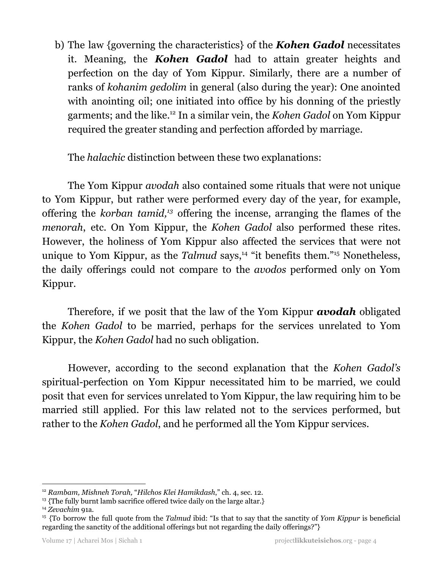b) The law {governing the characteristics} of the *Kohen Gadol* necessitates it. Meaning, the *Kohen Gadol* had to attain greater heights and perfection on the day of Yom Kippur. Similarly, there are a number of ranks of *kohanim gedolim* in general (also during the year): One anointed with anointing oil; one initiated into office by his donning of the priestly garments; and the like.<sup>12</sup> In a similar vein, the *Kohen Gadol* on Yom Kippur required the greater standing and perfection afforded by marriage.

The *halachic* distinction between these two explanations:

The Yom Kippur *avodah* also contained some rituals that were not unique to Yom Kippur, but rather were performed every day of the year, for example, offering the *korban tamid*,<sup>13</sup> offering the incense, arranging the flames of the *menorah*, etc. On Yom Kippur, the *Kohen Gadol* also performed these rites. However, the holiness of Yom Kippur also affected the services that were not unique to Yom Kippur, as the *Talmud* says,<sup>14</sup> "it benefits them."<sup>15</sup> Nonetheless, the daily offerings could not compare to the *avodos* performed only on Yom Kippur.

Therefore, if we posit that the law of the Yom Kippur *avodah* obligated the *Kohen Gadol* to be married, perhaps for the services unrelated to Yom Kippur, the *Kohen Gadol* had no such obligation.

However, according to the second explanation that the *Kohen Gadol's* spiritual*-*perfection on Yom Kippur necessitated him to be married, we could posit that even for services unrelated to Yom Kippur, the law requiring him to be married still applied. For this law related not to the services performed, but rather to the *Kohen Gadol*, and he performed all the Yom Kippur services.

<sup>12</sup> *Rambam, Mishneh Torah,* "*Hilchos Klei Hamikdash*," ch. 4, sec. 12.

<sup>&</sup>lt;sup>13</sup> {The fully burnt lamb sacrifice offered twice daily on the large altar.}

<sup>14</sup> *Zevachim* 91a.

<sup>15</sup> {To borrow the full quote from the *Talmud* ibid: "Is that to say that the sanctity of *Yom Kippur* is beneficial regarding the sanctity of the additional offerings but not regarding the daily offerings?"}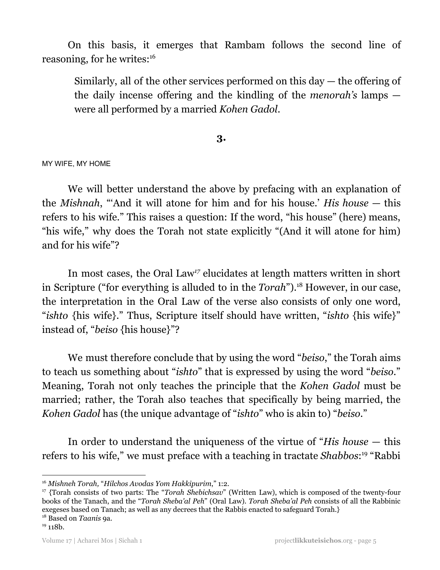On this basis, it emerges that Rambam follows the second line of reasoning, for he writes: 16

Similarly, all of the other services performed on this day — the offering of the daily incense offering and the kindling of the *menorah's* lamps were all performed by a married *Kohen Gadol*.

# **3.**

MY WIFE, MY HOME

We will better understand the above by prefacing with an explanation of the *Mishnah*, "'And it will atone for him and for his house.' *His house* — this refers to his wife." This raises a question: If the word, "his house" (here) means, "his wife," why does the Torah not state explicitly "(And it will atone for him) and for his wife"?

In most cases, the Oral Law<sup>17</sup> elucidates at length matters written in short in Scripture ("for everything is alluded to in the *Torah*").<sup>18</sup> However, in our case, the interpretation in the Oral Law of the verse also consists of only one word, "*ishto* {his wife}." Thus, Scripture itself should have written, "*ishto* {his wife}" instead of, "*beiso* {his house}"?

We must therefore conclude that by using the word "*beiso*," the Torah aims to teach us something about "*ishto*" that is expressed by using the word "*beiso*." Meaning, Torah not only teaches the principle that the *Kohen Gadol* must be married; rather, the Torah also teaches that specifically by being married, the *Kohen Gadol* has (the unique advantage of "*ishto*" who is akin to) "*beiso*."

In order to understand the uniqueness of the virtue of "*His house* — this refers to his wife," we must preface with a teaching in tractate Shabbos:<sup>19</sup> "Rabbi

<sup>16</sup> *Mishneh Torah,* "*Hilchos Avodas Yom Hakkipurim*," 1:2.

<sup>17</sup> {Torah consists of two parts: The "*Torah Shebichsav*" (Written Law), which is composed of the twenty-four books of the Tanach, and the "*Torah Sheba'al Peh*" (Oral Law). *Torah Sheba'al Peh* consists of all the Rabbinic exegeses based on Tanach; as well as any decrees that the Rabbis enacted to safeguard Torah.}

<sup>18</sup> Based on *Taanis* 9a.

 $19$  118b.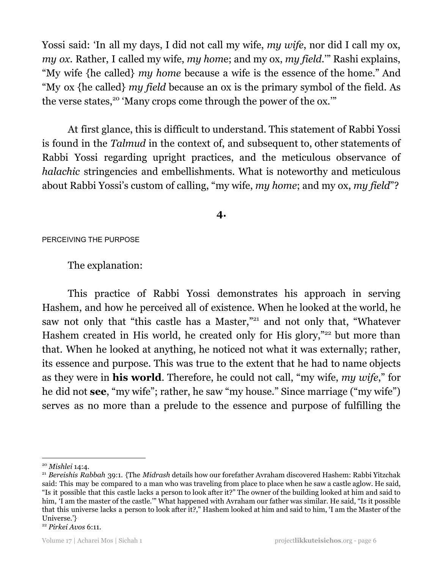Yossi said: 'In all my days, I did not call my wife, *my wife*, nor did I call my ox, *my ox*. Rather, I called my wife, *my hom*e; and my ox, *my field*.'" Rashi explains, "My wife {he called} *my home* because a wife is the essence of the home." And "My ox {he called} *my field* because an ox is the primary symbol of the field. As the verse states,<sup>20</sup> 'Many crops come through the power of the ox."

At first glance, this is difficult to understand. This statement of Rabbi Yossi is found in the *Talmud* in the context of, and subsequent to, other statements of Rabbi Yossi regarding upright practices, and the meticulous observance of *halachic* stringencies and embellishments. What is noteworthy and meticulous about Rabbi Yossi's custom of calling, "my wife, *my home*; and my ox, *my field*"?

**4.**

#### PERCEIVING THE PURPOSE

The explanation:

This practice of Rabbi Yossi demonstrates his approach in serving Hashem, and how he perceived all of existence. When he looked at the world, he saw not only that "this castle has a Master,"<sup>21</sup> and not only that, "Whatever Hashem created in His world, he created only for His glory,"<sup>22</sup> but more than that. When he looked at anything, he noticed not what it was externally; rather, its essence and purpose. This was true to the extent that he had to name objects as they were in **his world**. Therefore, he could not call, "my wife, *my wife*," for he did not **see**, "my wife"; rather, he saw "my house." Since marriage ("my wife") serves as no more than a prelude to the essence and purpose of fulfilling the

<sup>20</sup> *Mishlei* 14:4.

<sup>21</sup> *Bereishis Rabbah* 39:1. {The *Midrash* details how our forefather Avraham discovered Hashem: Rabbi Yitzchak said: This may be compared to a man who was traveling from place to place when he saw a castle aglow. He said, "Is it possible that this castle lacks a person to look after it?" The owner of the building looked at him and said to him, 'I am the master of the castle.'" What happened with Avraham our father was similar. He said, "Is it possible that this universe lacks a person to look after it?," Hashem looked at him and said to him, 'I am the Master of the Universe.'}

<sup>22</sup> *Pirkei Avos* 6:11.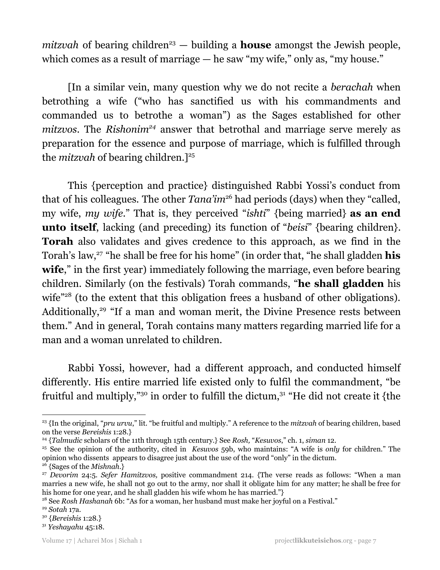$mixvah$  of bearing children<sup>23</sup>  $-$  building a **house** amongst the Jewish people, which comes as a result of marriage — he saw "my wife," only as, "my house."

[In a similar vein, many question why we do not recite a *berachah* when betrothing a wife ("who has sanctified us with his commandments and commanded us to betrothe a woman") as the Sages established for other *mitzvos*. The *Rishonim<sup>24</sup>* answer that betrothal and marriage serve merely as preparation for the essence and purpose of marriage, which is fulfilled through the *mitzvah* of bearing children.] 25

This {perception and practice} distinguished Rabbi Yossi's conduct from that of his colleagues. The other *Tana'im*<sup>26</sup> had periods (days) when they "called, my wife, *my wife*." That is, they perceived "*ishti*" {being married} **as an end unto itself**, lacking (and preceding) its function of "*beisi*" {bearing children}. **Torah** also validates and gives credence to this approach, as we find in the Torah's law,<sup>27</sup> "he shall be free for his home" (in order that, "he shall gladden **his** wife," in the first year) immediately following the marriage, even before bearing children. Similarly (on the festivals) Torah commands, "**he shall gladden** his wife<sup>"28</sup> (to the extent that this obligation frees a husband of other obligations). Additionally,<sup>29</sup> "If a man and woman merit, the Divine Presence rests between them." And in general, Torah contains many matters regarding married life for a man and a woman unrelated to children.

Rabbi Yossi, however, had a different approach, and conducted himself differently. His entire married life existed only to fulfil the commandment, "be fruitful and multiply,"<sup>30</sup> in order to fulfill the dictum, $31$  "He did not create it {the

<sup>23</sup> {In the original, "*pru urvu*," lit. "be fruitful and multiply." A reference to the *mitzvah* of bearing children, based on the verse *Bereishis* 1:28.}

<sup>24</sup> {*Talmudic* scholars of the 11th through 15th century.} See *Rosh,* "*Kesuvos*," ch. 1, *siman* 12.

<sup>25</sup> See the opinion of the authority, cited in *Kesuvos* 59b, who maintains: "A wife is *only* for children." The opinion who dissents appears to disagree just about the use of the word "only" in the dictum.

<sup>26</sup> {Sages of the *Mishnah*.}

<sup>27</sup> *Devorim* 24:5. *Sefer Hamitzvos,* positive commandment 214. {The verse reads as follows: "When a man marries a new wife, he shall not go out to the army, nor shall it obligate him for any matter; he shall be free for his home for one year, and he shall gladden his wife whom he has married."}

<sup>28</sup> See *Rosh Hashanah* 6b: "As for a woman, her husband must make her joyful on a Festival."

<sup>29</sup> *Sotah* 17a.

<sup>30</sup> {*Bereishis* 1:28.}

<sup>31</sup> *Yeshayahu* 45:18.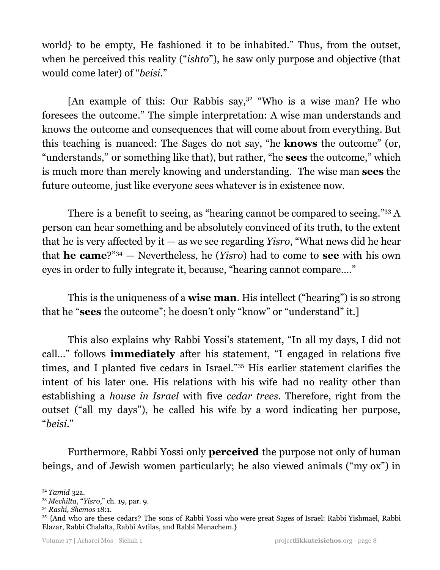world} to be empty, He fashioned it to be inhabited." Thus, from the outset, when he perceived this reality ("*ishto*"), he saw only purpose and objective (that would come later) of "*beisi*."

[An example of this: Our Rabbis say, $3^2$  "Who is a wise man? He who foresees the outcome." The simple interpretation: A wise man understands and knows the outcome and consequences that will come about from everything. But this teaching is nuanced: The Sages do not say, "he **knows** the outcome" (or, "understands," or something like that), but rather, "he **sees** the outcome," which is much more than merely knowing and understanding. The wise man **sees** the future outcome, just like everyone sees whatever is in existence now.

There is a benefit to seeing, as "hearing cannot be compared to seeing."<sup>33</sup> A person can hear something and be absolutely convinced of its truth, to the extent that he is very affected by it — as we see regarding *Yisro*, "What news did he hear that **he came**?"<sup>34</sup> – Nevertheless, he (*Yisro*) had to come to **see** with his own eyes in order to fully integrate it, because, "hearing cannot compare…."

This is the uniqueness of a **wise man**. His intellect ("hearing") is so strong that he "**sees** the outcome"; he doesn't only "know" or "understand" it.]

This also explains why Rabbi Yossi's statement, "In all my days, I did not call…" follows **immediately** after his statement, "I engaged in relations five times, and I planted five cedars in Israel."35 His earlier statement clarifies the intent of his later one. His relations with his wife had no reality other than establishing a *house in Israel* with five *cedar trees*. Therefore, right from the outset ("all my days"), he called his wife by a word indicating her purpose, "*beisi*."

Furthermore, Rabbi Yossi only **perceived** the purpose not only of human beings, and of Jewish women particularly; he also viewed animals ("my ox") in

<sup>32</sup> *Tamid* 32a.

<sup>33</sup> *Mechilta*, "*Yisro*," ch. 19, par. 9.

<sup>34</sup> *Rashi, Shemos* 18:1.

<sup>35</sup> {And who are these cedars? The sons of Rabbi Yossi who were great Sages of Israel: Rabbi Yishmael, Rabbi Elazar, Rabbi Chalafta, Rabbi Avtilas, and Rabbi Menachem.}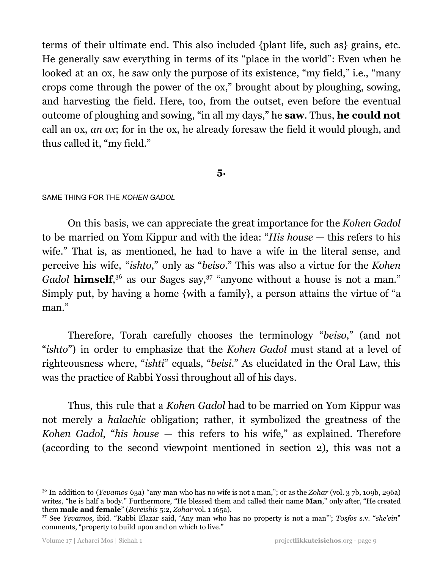terms of their ultimate end. This also included {plant life, such as} grains, etc. He generally saw everything in terms of its "place in the world": Even when he looked at an ox, he saw only the purpose of its existence, "my field," i.e., "many crops come through the power of the ox," brought about by ploughing, sowing, and harvesting the field. Here, too, from the outset, even before the eventual outcome of ploughing and sowing, "in all my days," he **saw**. Thus, **he could not** call an ox, *an ox*; for in the ox, he already foresaw the field it would plough, and thus called it, "my field."

## **5.**

#### SAME THING FOR THE *KOHEN GADOL*

On this basis, we can appreciate the great importance for the *Kohen Gadol* to be married on Yom Kippur and with the idea: "*His house* — this refers to his wife." That is, as mentioned, he had to have a wife in the literal sense, and perceive his wife, "*ishto*," only as "*beiso*." This was also a virtue for the *Kohen* Gadol **himself**,<sup>36</sup> as our Sages say,<sup>37</sup> "anyone without a house is not a man." Simply put, by having a home {with a family}, a person attains the virtue of "a man."

Therefore, Torah carefully chooses the terminology "*beiso*," (and not "*ishto*") in order to emphasize that the *Kohen Gadol* must stand at a level of righteousness where, "*ishti*" equals, "*beisi*." As elucidated in the Oral Law, this was the practice of Rabbi Yossi throughout all of his days.

Thus, this rule that a *Kohen Gadol* had to be married on Yom Kippur was not merely a *halachic* obligation; rather, it symbolized the greatness of the *Kohen Gadol*, "*his house* — this refers to his wife," as explained. Therefore (according to the second viewpoint mentioned in section 2), this was not a

<sup>36</sup> In addition to (*Yevamos* 63a) "any man who has no wife is not a man,"; or as the *Zohar* (vol. 3 7b, 109b, 296a) writes, "he is half a body." Furthermore, "He blessed them and called their name **Man**," only after, "He created them **male and female**" (*Bereishis* 5:2, *Zohar* vol. 1 165a).

<sup>37</sup> See *Yevamos,* ibid. "Rabbi Elazar said, 'Any man who has no property is not a man'"; *Tosfos* s.v. "*she'ein*" comments, "property to build upon and on which to live."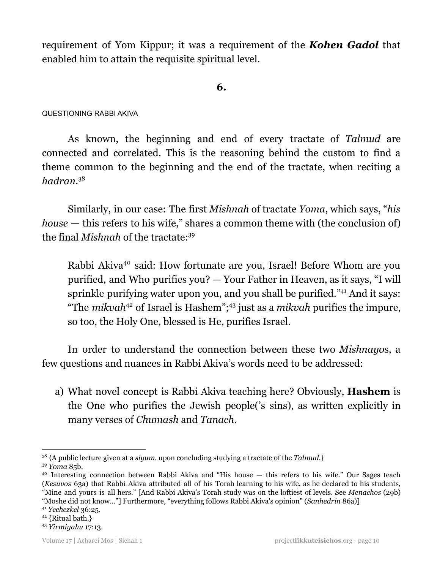requirement of Yom Kippur; it was a requirement of the *Kohen Gadol* that enabled him to attain the requisite spiritual level*.*

# **6.**

#### QUESTIONING RABBI AKIVA

As known, the beginning and end of every tractate of *Talmud* are connected and correlated. This is the reasoning behind the custom to find a theme common to the beginning and the end of the tractate, when reciting a *hadran*. 38

Similarly, in our case: The first *Mishnah* of tractate *Yoma*, which says, "*his house* — this refers to his wife," shares a common theme with (the conclusion of) the final *Mishnah* of the tractate: 39

Rabbi Akiva<sup>40</sup> said: How fortunate are you, Israel! Before Whom are you purified, and Who purifies you? — Your Father in Heaven, as it says, "I will sprinkle purifying water upon you, and you shall be purified."<sup>41</sup> And it says: "The *mikvah*<sup>42</sup> of Israel is Hashem";<sup>43</sup> just as a *mikvah* purifies the impure, so too, the Holy One, blessed is He, purifies Israel.

In order to understand the connection between these two *Mishnayo*s, a few questions and nuances in Rabbi Akiva's words need to be addressed:

a) What novel concept is Rabbi Akiva teaching here? Obviously, **Hashem** is the One who purifies the Jewish people('s sins), as written explicitly in many verses of *Chumash* and *Tanach*.

<sup>39</sup> *Yoma* 85b. <sup>38</sup> {A public lecture given at a *siyum*, upon concluding studying a tractate of the *Talmud*.}

<sup>&</sup>lt;sup>40</sup> Interesting connection between Rabbi Akiva and "His house — this refers to his wife." Our Sages teach (*Kesuvos* 63a) that Rabbi Akiva attributed all of his Torah learning to his wife, as he declared to his students, "Mine and yours is all hers." [And Rabbi Akiva's Torah study was on the loftiest of levels. See *Menachos* (29b) "Moshe did not know…"] Furthermore, "everything follows Rabbi Akiva's opinion" (*Sanhedrin* 86a)]

<sup>41</sup> *Yechezkel* 36:25.

<sup>42</sup> {Ritual bath.}

<sup>43</sup> *Yirmiyahu* 17:13.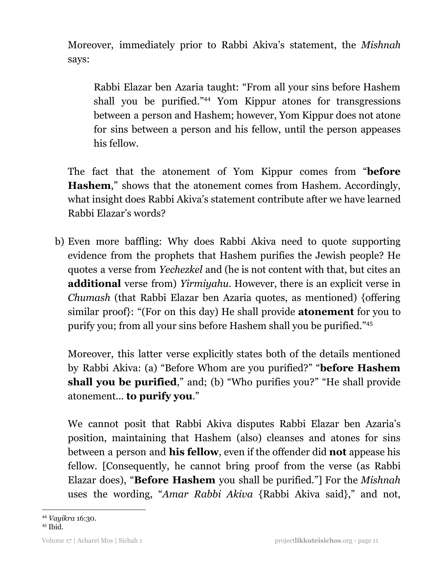Moreover, immediately prior to Rabbi Akiva's statement, the *Mishnah* says:

Rabbi Elazar ben Azaria taught: "From all your sins before Hashem shall you be purified."<sup>44</sup> Yom Kippur atones for transgressions between a person and Hashem; however, Yom Kippur does not atone for sins between a person and his fellow, until the person appeases his fellow.

The fact that the atonement of Yom Kippur comes from "**before Hashem**," shows that the atonement comes from Hashem. Accordingly, what insight does Rabbi Akiva's statement contribute after we have learned Rabbi Elazar's words?

b) Even more baffling: Why does Rabbi Akiva need to quote supporting evidence from the prophets that Hashem purifies the Jewish people? He quotes a verse from *Yechezkel* and (he is not content with that, but cites an **additional** verse from) *Yirmiyahu*. However, there is an explicit verse in *Chumash* (that Rabbi Elazar ben Azaria quotes, as mentioned) {offering similar proof}: "(For on this day) He shall provide **atonement** for you to purify you; from all your sins before Hashem shall you be purified." 45

Moreover, this latter verse explicitly states both of the details mentioned by Rabbi Akiva: (a) "Before Whom are you purified?" "**before Hashem shall you be purified**," and; (b) "Who purifies you?" "He shall provide atonement... **to purify you**."

We cannot posit that Rabbi Akiva disputes Rabbi Elazar ben Azaria's position, maintaining that Hashem (also) cleanses and atones for sins between a person and **his fellow**, even if the offender did **not** appease his fellow. [Consequently, he cannot bring proof from the verse (as Rabbi Elazar does), "**Before Hashem** you shall be purified."] For the *Mishnah* uses the wording, "*Amar Rabbi Akiva* {Rabbi Akiva said}," and not,

<sup>44</sup> *Vayikra* 16:30.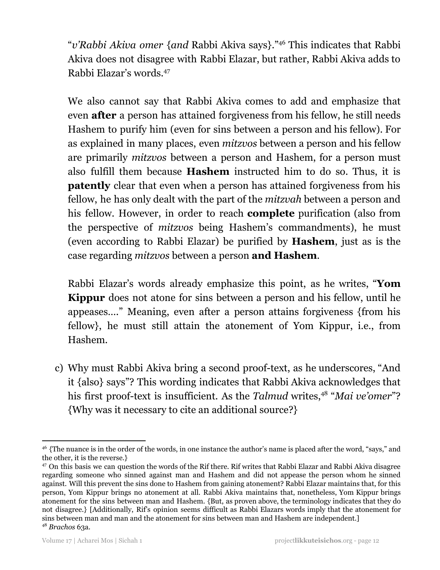"v'Rabbi Akiva omer {and Rabbi Akiva says}."<sup>46</sup> This indicates that Rabbi Akiva does not disagree with Rabbi Elazar, but rather, Rabbi Akiva adds to Rabbi Elazar's words. 47

We also cannot say that Rabbi Akiva comes to add and emphasize that even **after** a person has attained forgiveness from his fellow, he still needs Hashem to purify him (even for sins between a person and his fellow). For as explained in many places, even *mitzvos* between a person and his fellow are primarily *mitzvos* between a person and Hashem, for a person must also fulfill them because **Hashem** instructed him to do so. Thus, it is **patently** clear that even when a person has attained forgiveness from his fellow, he has only dealt with the part of the *mitzvah* between a person and his fellow. However, in order to reach **complete** purification (also from the perspective of *mitzvos* being Hashem's commandments), he must (even according to Rabbi Elazar) be purified by **Hashem**, just as is the case regarding *mitzvos* between a person **and Hashem**.

Rabbi Elazar's words already emphasize this point, as he writes, "**Yom Kippur** does not atone for sins between a person and his fellow, until he appeases…." Meaning, even after a person attains forgiveness {from his fellow}, he must still attain the atonement of Yom Kippur, i.e., from Hashem.

c) Why must Rabbi Akiva bring a second proof-text, as he underscores, "And it {also} says"? This wording indicates that Rabbi Akiva acknowledges that his first proof-text is insufficient. As the *Talmud* writes,<sup>48</sup> "Mai *ve*'omer"? {Why was it necessary to cite an additional source?}

<sup>46</sup> {The nuance is in the order of the words, in one instance the author's name is placed after the word, "says," and the other, it is the reverse.}

<sup>48</sup> *Brachos* 63a. <sup>47</sup> On this basis we can question the words of the Rif there. Rif writes that Rabbi Elazar and Rabbi Akiva disagree regarding someone who sinned against man and Hashem and did not appease the person whom he sinned against. Will this prevent the sins done to Hashem from gaining atonement? Rabbi Elazar maintains that, for this person, Yom Kippur brings no atonement at all. Rabbi Akiva maintains that, nonetheless, Yom Kippur brings atonement for the sins between man and Hashem. {But, as proven above, the terminology indicates that they do not disagree.} [Additionally, Rif's opinion seems difficult as Rabbi Elazars words imply that the atonement for sins between man and man and the atonement for sins between man and Hashem are independent.]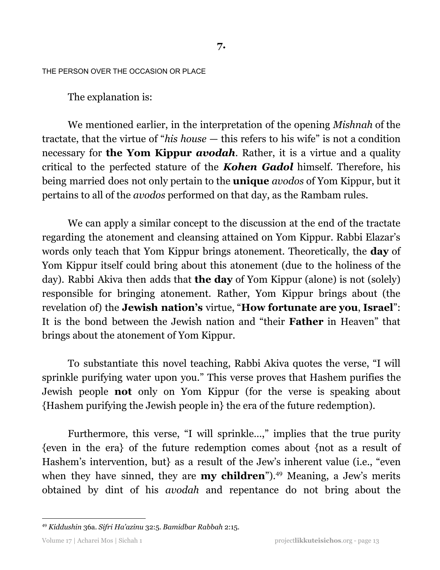THE PERSON OVER THE OCCASION OR PLACE

The explanation is:

We mentioned earlier, in the interpretation of the opening *Mishnah* of the tractate, that the virtue of "*his house* — this refers to his wife" is not a condition necessary for **the Yom Kippur** *avodah*. Rather, it is a virtue and a quality critical to the perfected stature of the *Kohen Gadol* himself. Therefore, his being married does not only pertain to the **unique** *avodos* of Yom Kippur, but it pertains to all of the *avodos* performed on that day, as the Rambam rules.

We can apply a similar concept to the discussion at the end of the tractate regarding the atonement and cleansing attained on Yom Kippur. Rabbi Elazar's words only teach that Yom Kippur brings atonement. Theoretically, the **day** of Yom Kippur itself could bring about this atonement (due to the holiness of the day). Rabbi Akiva then adds that **the day** of Yom Kippur (alone) is not (solely) responsible for bringing atonement. Rather, Yom Kippur brings about (the revelation of) the **Jewish nation's** virtue, "**How fortunate are you**, **Israel**": It is the bond between the Jewish nation and "their **Father** in Heaven" that brings about the atonement of Yom Kippur.

To substantiate this novel teaching, Rabbi Akiva quotes the verse, "I will sprinkle purifying water upon you." This verse proves that Hashem purifies the Jewish people **not** only on Yom Kippur (for the verse is speaking about {Hashem purifying the Jewish people in} the era of the future redemption).

Furthermore, this verse, "I will sprinkle...," implies that the true purity {even in the era} of the future redemption comes about {not as a result of Hashem's intervention, but} as a result of the Jew's inherent value (i.e., "even when they have sinned, they are **my children**").<sup>49</sup> Meaning, a Jew's merits obtained by dint of his *avodah* and repentance do not bring about the

<sup>49</sup> *Kiddushin* 36a. *Sifri Ha'azinu* 32:5. *Bamidbar Rabbah* 2:15.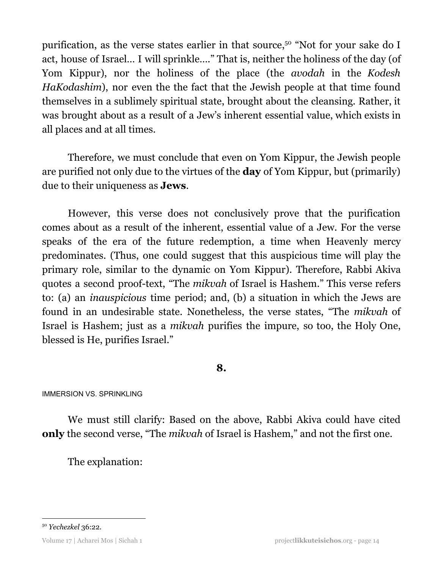purification, as the verse states earlier in that source,<sup>50</sup> "Not for your sake do I act, house of Israel… I will sprinkle…." That is, neither the holiness of the day (of Yom Kippur), nor the holiness of the place (the *avodah* in the *Kodesh HaKodashim*), nor even the the fact that the Jewish people at that time found themselves in a sublimely spiritual state, brought about the cleansing. Rather, it was brought about as a result of a Jew's inherent essential value, which exists in all places and at all times.

Therefore, we must conclude that even on Yom Kippur, the Jewish people are purified not only due to the virtues of the **day** of Yom Kippur, but (primarily) due to their uniqueness as **Jews**.

However, this verse does not conclusively prove that the purification comes about as a result of the inherent, essential value of a Jew. For the verse speaks of the era of the future redemption, a time when Heavenly mercy predominates. (Thus, one could suggest that this auspicious time will play the primary role, similar to the dynamic on Yom Kippur). Therefore, Rabbi Akiva quotes a second proof-text, "The *mikvah* of Israel is Hashem." This verse refers to: (a) an *inauspicious* time period; and, (b) a situation in which the Jews are found in an undesirable state. Nonetheless, the verse states, "The *mikvah* of Israel is Hashem; just as a *mikvah* purifies the impure, so too, the Holy One, blessed is He, purifies Israel."

# **8.**

IMMERSION VS. SPRINKLING

We must still clarify: Based on the above, Rabbi Akiva could have cited **only** the second verse, "The *mikvah* of Israel is Hashem," and not the first one.

The explanation:

<sup>50</sup> *Yechezkel* 36:22.

Volume 17 | Acharei Mos | Sichah 1 project**likkuteisichos**.org - page 14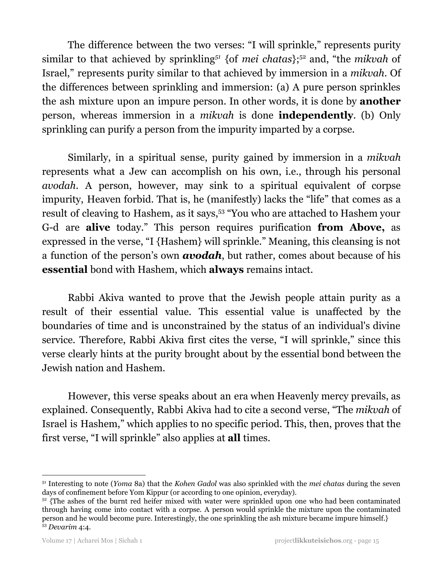The difference between the two verses: "I will sprinkle," represents purity similar to that achieved by sprinkling<sup>51</sup> {of *mei chatas*};<sup>52</sup> and, "the *mikvah* of Israel," represents purity similar to that achieved by immersion in a *mikvah*. Of the differences between sprinkling and immersion: (a) A pure person sprinkles the ash mixture upon an impure person. In other words, it is done by **another** person, whereas immersion in a *mikvah* is done **independently**. (b) Only sprinkling can purify a person from the impurity imparted by a corpse.

Similarly, in a spiritual sense, purity gained by immersion in a *mikvah* represents what a Jew can accomplish on his own, i.e., through his personal *avodah*. A person, however, may sink to a spiritual equivalent of corpse impurity, Heaven forbid. That is, he (manifestly) lacks the "life" that comes as a result of cleaving to Hashem, as it says,<sup>53</sup> "You who are attached to Hashem your G-d are **alive** today." This person requires purification **from Above,** as expressed in the verse, "I {Hashem} will sprinkle." Meaning, this cleansing is not a function of the person's own *avodah*, but rather, comes about because of his **essential** bond with Hashem, which **always** remains intact.

Rabbi Akiva wanted to prove that the Jewish people attain purity as a result of their essential value. This essential value is unaffected by the boundaries of time and is unconstrained by the status of an individual's divine service. Therefore, Rabbi Akiva first cites the verse, "I will sprinkle," since this verse clearly hints at the purity brought about by the essential bond between the Jewish nation and Hashem.

However, this verse speaks about an era when Heavenly mercy prevails, as explained. Consequently, Rabbi Akiva had to cite a second verse, "The *mikvah* of Israel is Hashem," which applies to no specific period. This, then, proves that the first verse, "I will sprinkle" also applies at **all** times.

<sup>51</sup> Interesting to note (*Yoma* 8a) that the *Kohen Gadol* was also sprinkled with the *mei chatas* during the seven days of confinement before Yom Kippur (or according to one opinion, everyday).

<sup>53</sup> *Devarim* 4:4.  $52$  {The ashes of the burnt red heifer mixed with water were sprinkled upon one who had been contaminated through having come into contact with a corpse. A person would sprinkle the mixture upon the contaminated person and he would become pure. Interestingly, the one sprinkling the ash mixture became impure himself.}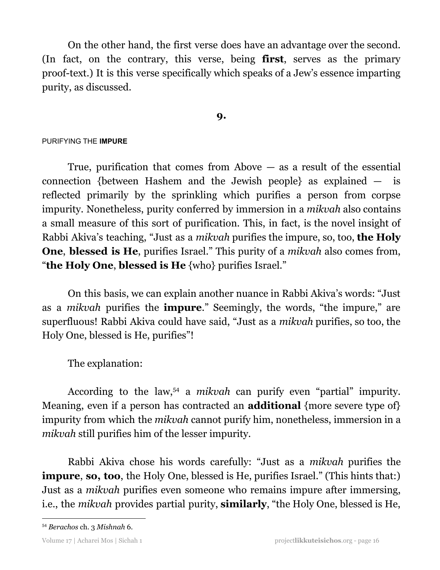On the other hand, the first verse does have an advantage over the second. (In fact, on the contrary, this verse, being **first**, serves as the primary proof-text.) It is this verse specifically which speaks of a Jew's essence imparting purity, as discussed.

### **9.**

#### PURIFYING THE **IMPURE**

True, purification that comes from Above  $-$  as a result of the essential connection {between Hashem and the Jewish people} as explained — is reflected primarily by the sprinkling which purifies a person from corpse impurity. Nonetheless, purity conferred by immersion in a *mikvah* also contains a small measure of this sort of purification. This, in fact, is the novel insight of Rabbi Akiva's teaching, "Just as a *mikvah* purifies the impure, so, too, **the Holy One**, **blessed is He**, purifies Israel." This purity of a *mikvah* also comes from, "**the Holy One**, **blessed is He** {who} purifies Israel."

On this basis, we can explain another nuance in Rabbi Akiva's words: "Just as a *mikvah* purifies the **impure**." Seemingly, the words, "the impure," are superfluous! Rabbi Akiva could have said, "Just as a *mikvah* purifies, so too, the Holy One, blessed is He, purifies"!

The explanation:

According to the law,<sup>54</sup> a *mikvah* can purify even "partial" impurity. Meaning, even if a person has contracted an **additional** {more severe type of} impurity from which the *mikvah* cannot purify him, nonetheless, immersion in a *mikvah* still purifies him of the lesser impurity.

Rabbi Akiva chose his words carefully: "Just as a *mikvah* purifies the **impure**, **so, too**, the Holy One, blessed is He, purifies Israel." (This hints that:) Just as a *mikvah* purifies even someone who remains impure after immersing, i.e., the *mikvah* provides partial purity, **similarly**, "the Holy One, blessed is He,

<sup>54</sup> *Berachos* ch. 3 *Mishnah* 6.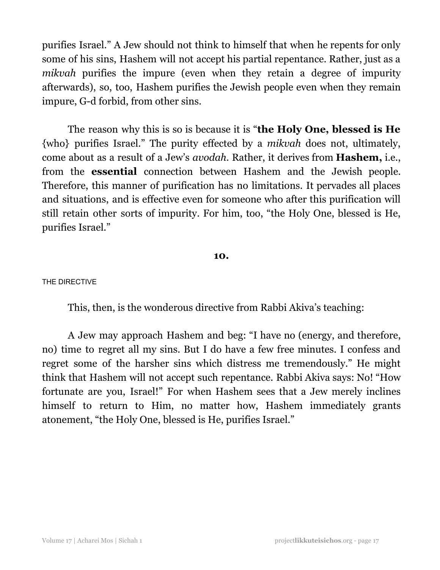purifies Israel." A Jew should not think to himself that when he repents for only some of his sins, Hashem will not accept his partial repentance. Rather, just as a *mikvah* purifies the impure (even when they retain a degree of impurity afterwards), so, too, Hashem purifies the Jewish people even when they remain impure, G-d forbid, from other sins.

The reason why this is so is because it is "**the Holy One, blessed is He** {who} purifies Israel." The purity effected by a *mikvah* does not, ultimately, come about as a result of a Jew's *avodah*. Rather, it derives from **Hashem,** i.e., from the **essential** connection between Hashem and the Jewish people. Therefore, this manner of purification has no limitations. It pervades all places and situations, and is effective even for someone who after this purification will still retain other sorts of impurity. For him, too, "the Holy One, blessed is He, purifies Israel."

#### **10.**

#### THE DIRECTIVE

This, then, is the wonderous directive from Rabbi Akiva's teaching:

A Jew may approach Hashem and beg: "I have no (energy, and therefore, no) time to regret all my sins. But I do have a few free minutes. I confess and regret some of the harsher sins which distress me tremendously." He might think that Hashem will not accept such repentance. Rabbi Akiva says: No! "How fortunate are you, Israel!" For when Hashem sees that a Jew merely inclines himself to return to Him, no matter how, Hashem immediately grants atonement, "the Holy One, blessed is He, purifies Israel."